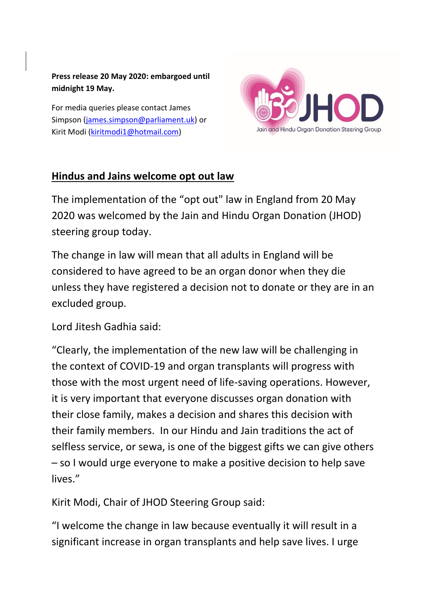**Press release 20 May 2020: embargoed until midnight 19 May.** 

For media queries please contact James Simpson [\(james.simpson@parliament.uk\)](mailto:james.simpson@parliament.uk) or Kirit Modi [\(kiritmodi1@hotmail.com\)](mailto:kiritmodi1@hotmail.com)



## **Hindus and Jains welcome opt out law**

The implementation of the "opt out" law in England from 20 May 2020 was welcomed by the Jain and Hindu Organ Donation (JHOD) steering group today.

The change in law will mean that all adults in England will be considered to have agreed to be an organ donor when they die unless they have registered a decision not to donate or they are in an excluded group.

Lord Jitesh Gadhia said:

"Clearly, the implementation of the new law will be challenging in the context of COVID-19 and organ transplants will progress with those with the most urgent need of life-saving operations. However, it is very important that everyone discusses organ donation with their close family, makes a decision and shares this decision with their family members. In our Hindu and Jain traditions the act of selfless service, or sewa, is one of the biggest gifts we can give others – so I would urge everyone to make a positive decision to help save lives."

Kirit Modi, Chair of JHOD Steering Group said:

"I welcome the change in law because eventually it will result in a significant increase in organ transplants and help save lives. I urge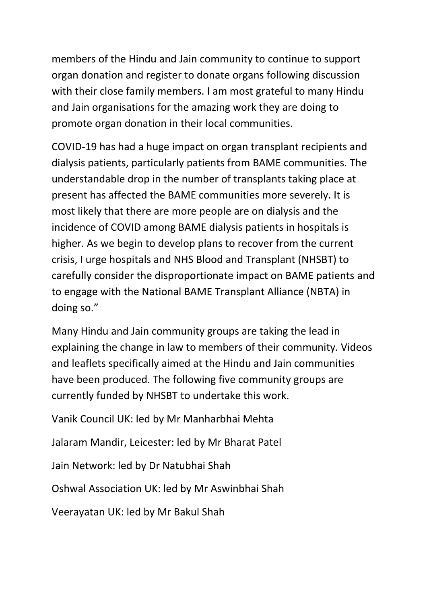members of the Hindu and Jain community to continue to support organ donation and register to donate organs following discussion with their close family members. I am most grateful to many Hindu and Jain organisations for the amazing work they are doing to promote organ donation in their local communities.

COVID-19 has had a huge impact on organ transplant recipients and dialysis patients, particularly patients from BAME communities. The understandable drop in the number of transplants taking place at present has affected the BAME communities more severely. It is most likely that there are more people are on dialysis and the incidence of COVID among BAME dialysis patients in hospitals is higher. As we begin to develop plans to recover from the current crisis, I urge hospitals and NHS Blood and Transplant (NHSBT) to carefully consider the disproportionate impact on BAME patients and to engage with the National BAME Transplant Alliance (NBTA) in doing so."

Many Hindu and Jain community groups are taking the lead in explaining the change in law to members of their community. Videos and leaflets specifically aimed at the Hindu and Jain communities have been produced. The following five community groups are currently funded by NHSBT to undertake this work.

Vanik Council UK: led by Mr Manharbhai Mehta Jalaram Mandir, Leicester: led by Mr Bharat Patel Jain Network: led by Dr Natubhai Shah Oshwal Association UK: led by Mr Aswinbhai Shah Veerayatan UK: led by Mr Bakul Shah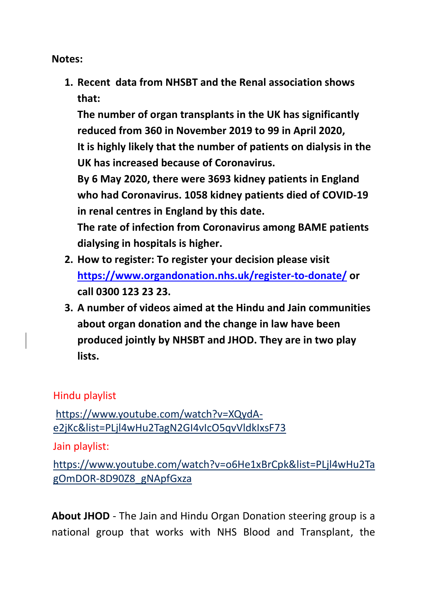**Notes:**

**1. Recent data from NHSBT and the Renal association shows that:**

**The number of organ transplants in the UK has significantly reduced from 360 in November 2019 to 99 in April 2020, It is highly likely that the number of patients on dialysis in the UK has increased because of Coronavirus.**

**By 6 May 2020, there were 3693 kidney patients in England who had Coronavirus. 1058 kidney patients died of COVID-19 in renal centres in England by this date.**

**The rate of infection from Coronavirus among BAME patients dialysing in hospitals is higher.** 

- **2. How to register: To register your decision please visit <https://www.organdonation.nhs.uk/register-to-donate/> or call 0300 123 23 23.**
- **3. A number of videos aimed at the Hindu and Jain communities about organ donation and the change in law have been produced jointly by NHSBT and JHOD. They are in two play lists.**

## Hindu playlist

[https://www.youtube.com/watch?v=XQydA](https://www.youtube.com/watch?v=XQydA-e2jKc&list=PLjl4wHu2TagN2GI4vIcO5qvVldkIxsF73)[e2jKc&list=PLjl4wHu2TagN2GI4vIcO5qvVldkIxsF73](https://www.youtube.com/watch?v=XQydA-e2jKc&list=PLjl4wHu2TagN2GI4vIcO5qvVldkIxsF73)

Jain playlist:

[https://www.youtube.com/watch?v=o6He1xBrCpk&list=PLjl4wHu2Ta](https://www.youtube.com/watch?v=o6He1xBrCpk&list=PLjl4wHu2TagOmDOR-8D90Z8_gNApfGxza) [gOmDOR-8D90Z8\\_gNApfGxza](https://www.youtube.com/watch?v=o6He1xBrCpk&list=PLjl4wHu2TagOmDOR-8D90Z8_gNApfGxza)

**About JHOD** - The Jain and Hindu Organ Donation steering group is a national group that works with NHS Blood and Transplant, the